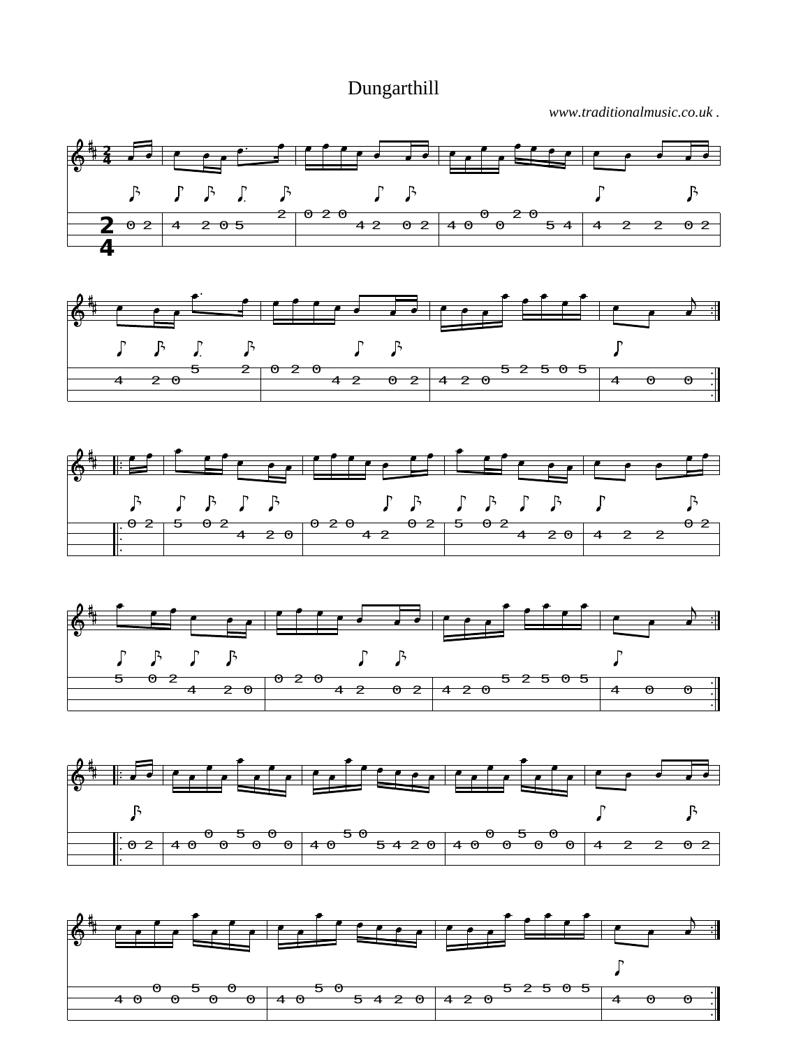Dungarthill

*www.traditionalmusic.co.uk .*